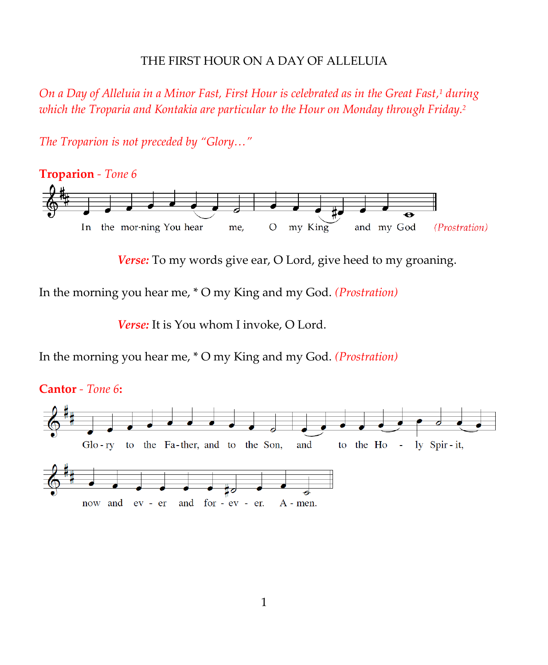### THE FIRST HOUR ON A DAY OF ALLELUIA

*On a Day of Alleluia in a Minor Fast, First Hour is celebrated as in the Great Fast, <sup>1</sup> during which the Troparia and Kontakia are particular to the Hour on Monday through Friday. 2*

**Troparion** *- Tone 6* In the mor-ning You hear my King and my God (Prostration) me,  $\mathcal{O}$ 

*Verse:* To my words give ear, O Lord, give heed to my groaning.

In the morning you hear me, \* O my King and my God. *(Prostration)*

*The Troparion is not preceded by "Glory…"*

*Verse:* It is You whom I invoke, O Lord.

In the morning you hear me, \* O my King and my God. *(Prostration)*

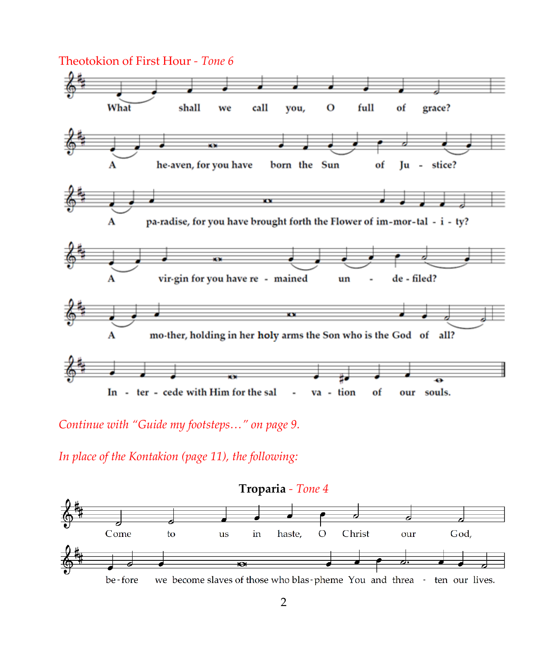

*Continue with "Guide my footsteps…" on page 9.*

*In place of the Kontakion (page 11), the following:*

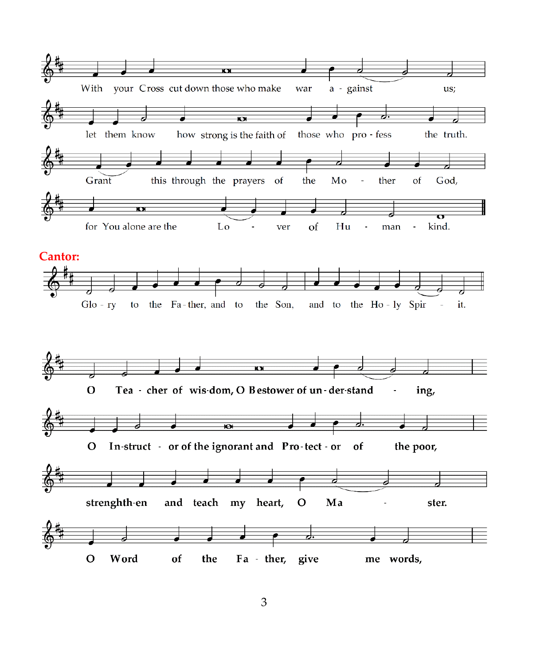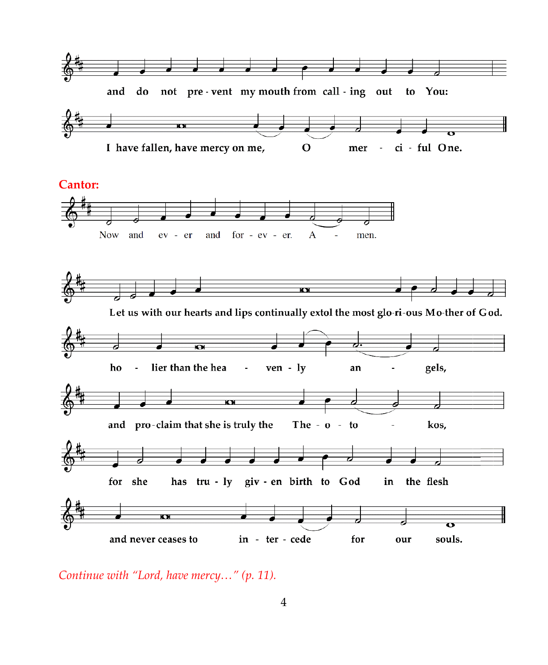

*Continue with "Lord, have mercy…" (p. 11).*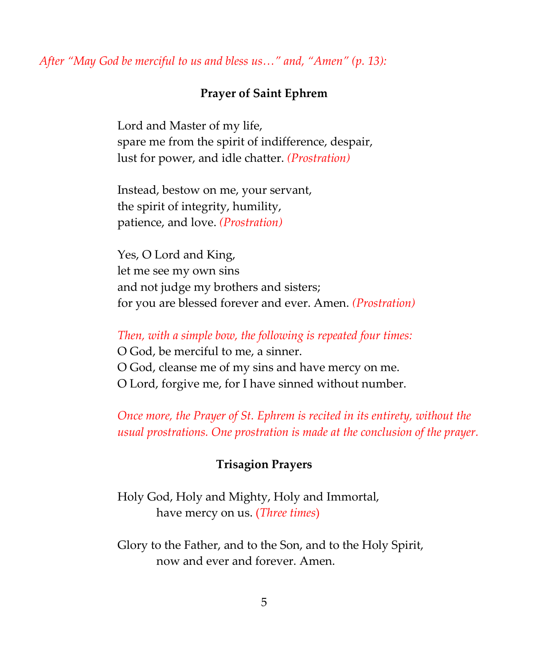# *After "May God be merciful to us and bless us…" and, "Amen" (p. 13):*

## **Prayer of Saint Ephrem**

Lord and Master of my life, spare me from the spirit of indifference, despair, lust for power, and idle chatter. *(Prostration)*

Instead, bestow on me, your servant, the spirit of integrity, humility, patience, and love. *(Prostration)*

Yes, O Lord and King, let me see my own sins and not judge my brothers and sisters; for you are blessed forever and ever. Amen. *(Prostration)*

#### *Then, with a simple bow, the following is repeated four times:*

O God, be merciful to me, a sinner. O God, cleanse me of my sins and have mercy on me. O Lord, forgive me, for I have sinned without number.

*Once more, the Prayer of St. Ephrem is recited in its entirety, without the usual prostrations. One prostration is made at the conclusion of the prayer.*

#### **Trisagion Prayers**

Holy God, Holy and Mighty, Holy and Immortal, have mercy on us. (*Three times*)

Glory to the Father, and to the Son, and to the Holy Spirit, now and ever and forever. Amen.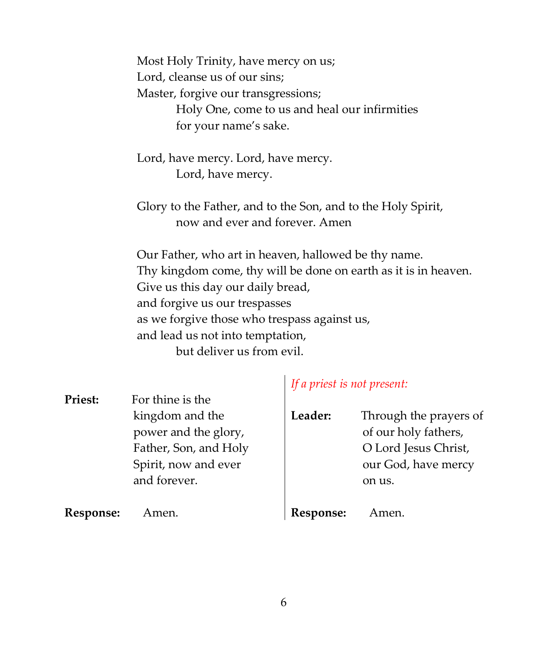Most Holy Trinity, have mercy on us; Lord, cleanse us of our sins; Master, forgive our transgressions; Holy One, come to us and heal our infirmities for your name's sake.

Lord, have mercy. Lord, have mercy. Lord, have mercy.

Glory to the Father, and to the Son, and to the Holy Spirit, now and ever and forever. Amen

Our Father, who art in heaven, hallowed be thy name. Thy kingdom come, thy will be done on earth as it is in heaven. Give us this day our daily bread, and forgive us our trespasses as we forgive those who trespass against us, and lead us not into temptation, but deliver us from evil.

**Priest:** For thine is the kingdom and the power and the glory, Father, Son, and Holy Spirit, now and ever and forever.

# *If a priest is not present:*

| Leader: | Through the prayers of |
|---------|------------------------|
|         | of our holy fathers,   |
|         | O Lord Jesus Christ,   |
|         | our God, have mercy    |
|         | on us.                 |
|         |                        |

**Response:** Amen.

**Response:** Amen.